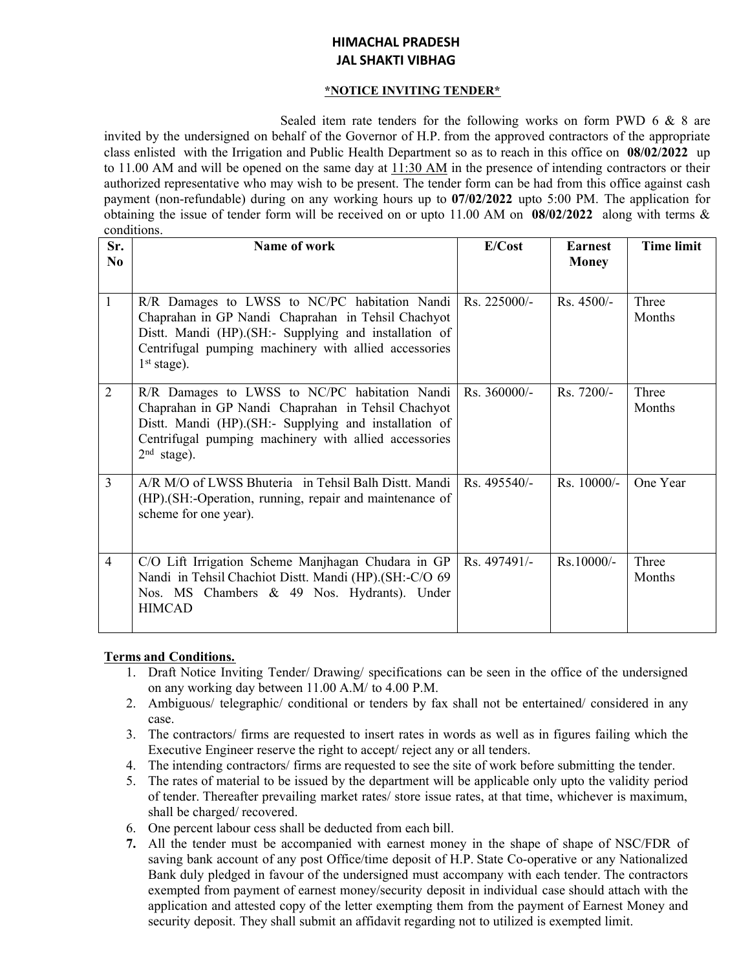# **HIMACHAL PRADESH JAL SHAKTI VIBHAG**

#### **\*NOTICE INVITING TENDER\***

Sealed item rate tenders for the following works on form PWD 6 & 8 are invited by the undersigned on behalf of the Governor of H.P. from the approved contractors of the appropriate class enlisted with the Irrigation and Public Health Department so as to reach in this office on **08/02/2022** up to 11.00 AM and will be opened on the same day at 11:30 AM in the presence of intending contractors or their authorized representative who may wish to be present. The tender form can be had from this office against cash payment (non-refundable) during on any working hours up to **07/02/2022** upto 5:00 PM. The application for obtaining the issue of tender form will be received on or upto 11.00 AM on **08/02/2022** along with terms & conditions.

| Sr.<br>N <sub>0</sub> | Name of work                                                                                                                                                                                                                             | E/Cost        | <b>Earnest</b><br><b>Money</b> | <b>Time limit</b>      |
|-----------------------|------------------------------------------------------------------------------------------------------------------------------------------------------------------------------------------------------------------------------------------|---------------|--------------------------------|------------------------|
|                       |                                                                                                                                                                                                                                          |               |                                |                        |
| $\mathbf{1}$          | R/R Damages to LWSS to NC/PC habitation Nandi<br>Chaprahan in GP Nandi Chaprahan in Tehsil Chachyot<br>Distt. Mandi (HP). (SH:- Supplying and installation of<br>Centrifugal pumping machinery with allied accessories<br>$1st stage$ ). | Rs. 225000/-  | Rs. 4500/-                     | Three<br>Months        |
| $\overline{2}$        | R/R Damages to LWSS to NC/PC habitation Nandi<br>Chaprahan in GP Nandi Chaprahan in Tehsil Chachyot<br>Distt. Mandi (HP).(SH:- Supplying and installation of<br>Centrifugal pumping machinery with allied accessories<br>$2nd$ stage).   | Rs. 360000/-  | Rs. 7200/-                     | Three<br><b>Months</b> |
| $\overline{3}$        | A/R M/O of LWSS Bhuteria in Tehsil Balh Distt. Mandi<br>(HP).(SH:-Operation, running, repair and maintenance of<br>scheme for one year).                                                                                                 | $Rs.495540/-$ | $Rs. 10000/-$                  | One Year               |
| $\overline{4}$        | C/O Lift Irrigation Scheme Manjhagan Chudara in GP<br>Nandi in Tehsil Chachiot Distt. Mandi (HP).(SH:-C/O 69<br>Nos. MS Chambers & 49 Nos. Hydrants). Under<br><b>HIMCAD</b>                                                             | Rs. 497491/-  | $Rs.10000/-$                   | Three<br>Months        |

#### **Terms and Conditions.**

- 1. Draft Notice Inviting Tender/ Drawing/ specifications can be seen in the office of the undersigned on any working day between 11.00 A.M/ to 4.00 P.M.
- 2. Ambiguous/ telegraphic/ conditional or tenders by fax shall not be entertained/ considered in any case.
- 3. The contractors/ firms are requested to insert rates in words as well as in figures failing which the Executive Engineer reserve the right to accept/ reject any or all tenders.
- 4. The intending contractors/ firms are requested to see the site of work before submitting the tender.
- 5. The rates of material to be issued by the department will be applicable only upto the validity period of tender. Thereafter prevailing market rates/ store issue rates, at that time, whichever is maximum, shall be charged/ recovered.
- 6. One percent labour cess shall be deducted from each bill.
- **7.** All the tender must be accompanied with earnest money in the shape of shape of NSC/FDR of saving bank account of any post Office/time deposit of H.P. State Co-operative or any Nationalized Bank duly pledged in favour of the undersigned must accompany with each tender. The contractors exempted from payment of earnest money/security deposit in individual case should attach with the application and attested copy of the letter exempting them from the payment of Earnest Money and security deposit. They shall submit an affidavit regarding not to utilized is exempted limit.